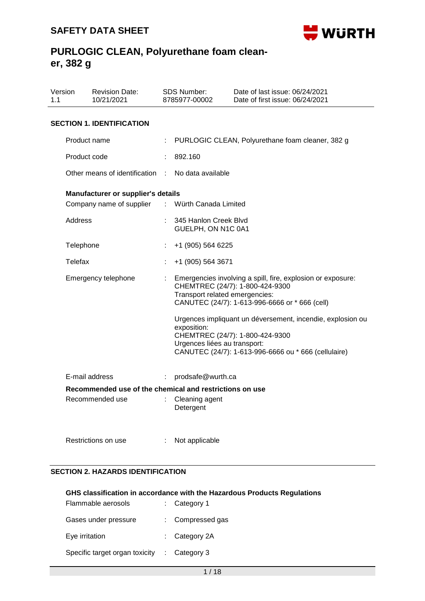

| Version<br>1.1 |                                                         | <b>Revision Date:</b><br>10/21/2021 |   | <b>SDS Number:</b><br>8785977-00002                                           | Date of last issue: 06/24/2021<br>Date of first issue: 06/24/2021                                                                                                                                                                                                                                         |  |  |  |  |  |
|----------------|---------------------------------------------------------|-------------------------------------|---|-------------------------------------------------------------------------------|-----------------------------------------------------------------------------------------------------------------------------------------------------------------------------------------------------------------------------------------------------------------------------------------------------------|--|--|--|--|--|
|                | <b>SECTION 1. IDENTIFICATION</b>                        |                                     |   |                                                                               |                                                                                                                                                                                                                                                                                                           |  |  |  |  |  |
|                | Product name                                            |                                     |   |                                                                               | PURLOGIC CLEAN, Polyurethane foam cleaner, 382 g                                                                                                                                                                                                                                                          |  |  |  |  |  |
|                | Product code                                            |                                     |   | 892.160                                                                       |                                                                                                                                                                                                                                                                                                           |  |  |  |  |  |
|                |                                                         | Other means of identification       |   | No data available                                                             |                                                                                                                                                                                                                                                                                                           |  |  |  |  |  |
|                |                                                         | Manufacturer or supplier's details  |   |                                                                               |                                                                                                                                                                                                                                                                                                           |  |  |  |  |  |
|                |                                                         | Company name of supplier            |   | : Würth Canada Limited                                                        |                                                                                                                                                                                                                                                                                                           |  |  |  |  |  |
|                | Address                                                 |                                     |   | 345 Hanlon Creek Blvd<br>GUELPH, ON N1C 0A1                                   |                                                                                                                                                                                                                                                                                                           |  |  |  |  |  |
|                | Telephone                                               |                                     | t | +1 (905) 564 6225                                                             |                                                                                                                                                                                                                                                                                                           |  |  |  |  |  |
|                | Telefax                                                 |                                     |   | +1 (905) 564 3671                                                             |                                                                                                                                                                                                                                                                                                           |  |  |  |  |  |
|                |                                                         | Emergency telephone                 |   | Transport related emergencies:<br>exposition:<br>Urgences liées au transport: | Emergencies involving a spill, fire, explosion or exposure:<br>CHEMTREC (24/7): 1-800-424-9300<br>CANUTEC (24/7): 1-613-996-6666 or * 666 (cell)<br>Urgences impliquant un déversement, incendie, explosion ou<br>CHEMTREC (24/7): 1-800-424-9300<br>CANUTEC (24/7): 1-613-996-6666 ou * 666 (cellulaire) |  |  |  |  |  |
|                |                                                         |                                     |   |                                                                               |                                                                                                                                                                                                                                                                                                           |  |  |  |  |  |
|                |                                                         | E-mail address                      | ÷ | prodsafe@wurth.ca                                                             |                                                                                                                                                                                                                                                                                                           |  |  |  |  |  |
|                | Recommended use of the chemical and restrictions on use |                                     |   |                                                                               |                                                                                                                                                                                                                                                                                                           |  |  |  |  |  |
|                |                                                         | Recommended use                     |   | Cleaning agent<br>Detergent                                                   |                                                                                                                                                                                                                                                                                                           |  |  |  |  |  |
|                |                                                         | Restrictions on use                 |   | Not applicable                                                                |                                                                                                                                                                                                                                                                                                           |  |  |  |  |  |

### **SECTION 2. HAZARDS IDENTIFICATION**

#### **GHS classification in accordance with the Hazardous Products Regulations** Flammable aerosols : Category 1

| Flammable aerosols             | : Category 1             |
|--------------------------------|--------------------------|
| Gases under pressure           | : Compressed gas         |
| Eye irritation                 | $\therefore$ Category 2A |
| Specific target organ toxicity | $\therefore$ Category 3  |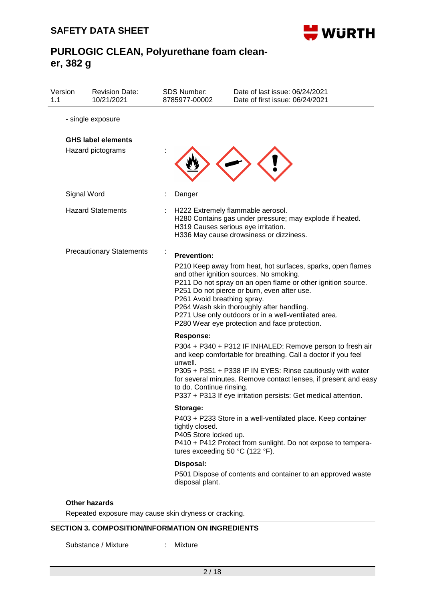

| Version<br>1.1 | <b>Revision Date:</b><br>10/21/2021 | <b>SDS Number:</b><br>8785977-00002      | Date of last issue: 06/24/2021<br>Date of first issue: 06/24/2021                                                                                                                                                                                                                                                                                                           |
|----------------|-------------------------------------|------------------------------------------|-----------------------------------------------------------------------------------------------------------------------------------------------------------------------------------------------------------------------------------------------------------------------------------------------------------------------------------------------------------------------------|
|                | - single exposure                   |                                          |                                                                                                                                                                                                                                                                                                                                                                             |
|                | <b>GHS label elements</b>           |                                          |                                                                                                                                                                                                                                                                                                                                                                             |
|                | Hazard pictograms                   |                                          |                                                                                                                                                                                                                                                                                                                                                                             |
|                | Signal Word                         | Danger                                   |                                                                                                                                                                                                                                                                                                                                                                             |
|                | <b>Hazard Statements</b>            |                                          | H222 Extremely flammable aerosol.<br>H280 Contains gas under pressure; may explode if heated.<br>H319 Causes serious eye irritation.<br>H336 May cause drowsiness or dizziness.                                                                                                                                                                                             |
|                | <b>Precautionary Statements</b>     | <b>Prevention:</b>                       |                                                                                                                                                                                                                                                                                                                                                                             |
|                |                                     | P261 Avoid breathing spray.              | P210 Keep away from heat, hot surfaces, sparks, open flames<br>and other ignition sources. No smoking.<br>P211 Do not spray on an open flame or other ignition source.<br>P251 Do not pierce or burn, even after use.<br>P264 Wash skin thoroughly after handling.<br>P271 Use only outdoors or in a well-ventilated area.<br>P280 Wear eye protection and face protection. |
|                |                                     | <b>Response:</b>                         |                                                                                                                                                                                                                                                                                                                                                                             |
|                |                                     | unwell.<br>to do. Continue rinsing.      | P304 + P340 + P312 IF INHALED: Remove person to fresh air<br>and keep comfortable for breathing. Call a doctor if you feel<br>P305 + P351 + P338 IF IN EYES: Rinse cautiously with water<br>for several minutes. Remove contact lenses, if present and easy<br>P337 + P313 If eye irritation persists: Get medical attention.                                               |
|                |                                     | Storage:                                 |                                                                                                                                                                                                                                                                                                                                                                             |
|                |                                     | tightly closed.<br>P405 Store locked up. | P403 + P233 Store in a well-ventilated place. Keep container<br>P410 + P412 Protect from sunlight. Do not expose to tempera-<br>tures exceeding 50 $^{\circ}$ C (122 $^{\circ}$ F).                                                                                                                                                                                         |
|                |                                     | Disposal:                                |                                                                                                                                                                                                                                                                                                                                                                             |
|                |                                     | disposal plant.                          | P501 Dispose of contents and container to an approved waste                                                                                                                                                                                                                                                                                                                 |

Repeated exposure may cause skin dryness or cracking.

## **SECTION 3. COMPOSITION/INFORMATION ON INGREDIENTS**

Substance / Mixture : Mixture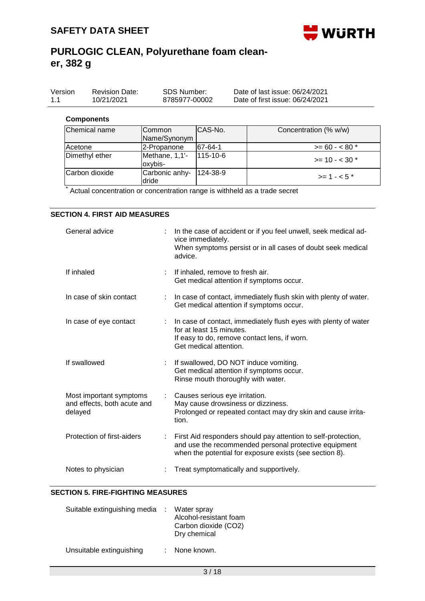

| Version | <b>Revision Date:</b> | SDS Number:   | Date of last issue: 06/24/2021  |
|---------|-----------------------|---------------|---------------------------------|
| 1.1     | 10/21/2021            | 8785977-00002 | Date of first issue: 06/24/2021 |
|         |                       |               |                                 |

### **Components**

| Chemical name  | Common<br>Name/Synonym    | ICAS-No.       | Concentration (% w/w)  |
|----------------|---------------------------|----------------|------------------------|
| Acetone        | 2-Propanone               | $ 67-64-1 $    | $>= 60 - 80$ *         |
| Dimethyl ether | Methane, 1,1'-<br>oxybis- | $115 - 10 - 6$ | $\ge$ = 10 - < 30 $^*$ |
| Carbon dioxide | Carbonic anhy-<br>ldride  | $124 - 38 - 9$ | $> = 1 - 5$ *          |

\* Actual concentration or concentration range is withheld as a trade secret

### **SECTION 4. FIRST AID MEASURES**

| General advice                                                    |    | In the case of accident or if you feel unwell, seek medical ad-<br>vice immediately.<br>When symptoms persist or in all cases of doubt seek medical<br>advice.                    |
|-------------------------------------------------------------------|----|-----------------------------------------------------------------------------------------------------------------------------------------------------------------------------------|
| If inhaled                                                        | ÷. | If inhaled, remove to fresh air.<br>Get medical attention if symptoms occur.                                                                                                      |
| In case of skin contact                                           |    | In case of contact, immediately flush skin with plenty of water.<br>Get medical attention if symptoms occur.                                                                      |
| In case of eye contact                                            |    | In case of contact, immediately flush eyes with plenty of water<br>for at least 15 minutes.<br>If easy to do, remove contact lens, if worn.<br>Get medical attention.             |
| If swallowed                                                      |    | If swallowed, DO NOT induce vomiting.<br>Get medical attention if symptoms occur.<br>Rinse mouth thoroughly with water.                                                           |
| Most important symptoms<br>and effects, both acute and<br>delayed |    | Causes serious eye irritation.<br>May cause drowsiness or dizziness.<br>Prolonged or repeated contact may dry skin and cause irrita-<br>tion.                                     |
| Protection of first-aiders                                        |    | First Aid responders should pay attention to self-protection,<br>and use the recommended personal protective equipment<br>when the potential for exposure exists (see section 8). |
| Notes to physician                                                |    | Treat symptomatically and supportively.                                                                                                                                           |

### **SECTION 5. FIRE-FIGHTING MEASURES**

| Suitable extinguishing media | Water spray<br>Alcohol-resistant foam<br>Carbon dioxide (CO2)<br>Dry chemical |
|------------------------------|-------------------------------------------------------------------------------|
| Unsuitable extinguishing     | None known.                                                                   |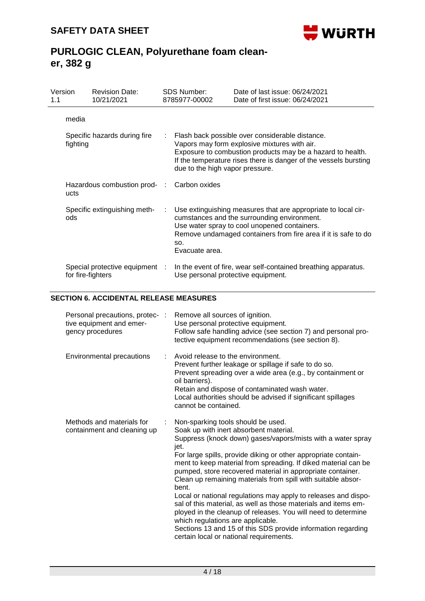

| Version<br>1.1 |                                          | <b>Revision Date:</b><br>10/21/2021                 |    | SDS Number:<br>8785977-00002                                                                                                                                                                                                                                         | Date of last issue: 06/24/2021<br>Date of first issue: 06/24/2021                                                                                                                                                              |  |  |
|----------------|------------------------------------------|-----------------------------------------------------|----|----------------------------------------------------------------------------------------------------------------------------------------------------------------------------------------------------------------------------------------------------------------------|--------------------------------------------------------------------------------------------------------------------------------------------------------------------------------------------------------------------------------|--|--|
|                | media                                    |                                                     |    |                                                                                                                                                                                                                                                                      |                                                                                                                                                                                                                                |  |  |
|                | Specific hazards during fire<br>fighting |                                                     |    | Flash back possible over considerable distance.<br>Vapors may form explosive mixtures with air.<br>Exposure to combustion products may be a hazard to health.<br>If the temperature rises there is danger of the vessels bursting<br>due to the high vapor pressure. |                                                                                                                                                                                                                                |  |  |
|                | ucts                                     | Hazardous combustion prod- : Carbon oxides          |    |                                                                                                                                                                                                                                                                      |                                                                                                                                                                                                                                |  |  |
|                | ods                                      | Specific extinguishing meth-                        | ÷. | SO.<br>Evacuate area.                                                                                                                                                                                                                                                | Use extinguishing measures that are appropriate to local cir-<br>cumstances and the surrounding environment.<br>Use water spray to cool unopened containers.<br>Remove undamaged containers from fire area if it is safe to do |  |  |
|                |                                          | Special protective equipment :<br>for fire-fighters |    |                                                                                                                                                                                                                                                                      | In the event of fire, wear self-contained breathing apparatus.<br>Use personal protective equipment.                                                                                                                           |  |  |

## **SECTION 6. ACCIDENTAL RELEASE MEASURES**

| Personal precautions, protec- :<br>tive equipment and emer-<br>gency procedures | Remove all sources of ignition.<br>Use personal protective equipment.<br>Follow safe handling advice (see section 7) and personal pro-<br>tective equipment recommendations (see section 8).                                                                                                                                                                                                                                                                                                                                                                                                                                                                                                                                                                                        |
|---------------------------------------------------------------------------------|-------------------------------------------------------------------------------------------------------------------------------------------------------------------------------------------------------------------------------------------------------------------------------------------------------------------------------------------------------------------------------------------------------------------------------------------------------------------------------------------------------------------------------------------------------------------------------------------------------------------------------------------------------------------------------------------------------------------------------------------------------------------------------------|
| Environmental precautions                                                       | Avoid release to the environment.<br>Prevent further leakage or spillage if safe to do so.<br>Prevent spreading over a wide area (e.g., by containment or<br>oil barriers).<br>Retain and dispose of contaminated wash water.<br>Local authorities should be advised if significant spillages<br>cannot be contained.                                                                                                                                                                                                                                                                                                                                                                                                                                                               |
| Methods and materials for<br>containment and cleaning up                        | Non-sparking tools should be used.<br>Soak up with inert absorbent material.<br>Suppress (knock down) gases/vapors/mists with a water spray<br>jet.<br>For large spills, provide diking or other appropriate contain-<br>ment to keep material from spreading. If diked material can be<br>pumped, store recovered material in appropriate container.<br>Clean up remaining materials from spill with suitable absor-<br>bent.<br>Local or national regulations may apply to releases and dispo-<br>sal of this material, as well as those materials and items em-<br>ployed in the cleanup of releases. You will need to determine<br>which regulations are applicable.<br>Sections 13 and 15 of this SDS provide information regarding<br>certain local or national requirements. |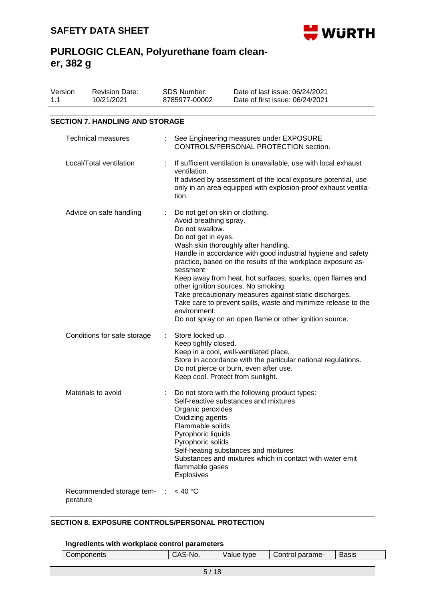

| Version<br>1.1 | <b>Revision Date:</b><br>10/21/2021    | <b>SDS Number:</b><br>8785977-00002                                                                                                          | Date of last issue: 06/24/2021<br>Date of first issue: 06/24/2021                                                                                                                                                                                                                                                                                                                                                                                                |  |  |  |  |  |  |  |
|----------------|----------------------------------------|----------------------------------------------------------------------------------------------------------------------------------------------|------------------------------------------------------------------------------------------------------------------------------------------------------------------------------------------------------------------------------------------------------------------------------------------------------------------------------------------------------------------------------------------------------------------------------------------------------------------|--|--|--|--|--|--|--|
|                | <b>SECTION 7. HANDLING AND STORAGE</b> |                                                                                                                                              |                                                                                                                                                                                                                                                                                                                                                                                                                                                                  |  |  |  |  |  |  |  |
|                | <b>Technical measures</b>              |                                                                                                                                              | See Engineering measures under EXPOSURE<br>CONTROLS/PERSONAL PROTECTION section.                                                                                                                                                                                                                                                                                                                                                                                 |  |  |  |  |  |  |  |
|                | Local/Total ventilation                | ventilation.<br>tion.                                                                                                                        | If sufficient ventilation is unavailable, use with local exhaust<br>If advised by assessment of the local exposure potential, use<br>only in an area equipped with explosion-proof exhaust ventila-                                                                                                                                                                                                                                                              |  |  |  |  |  |  |  |
|                | Advice on safe handling                | Do not get on skin or clothing.<br>Avoid breathing spray.<br>Do not swallow.<br>Do not get in eyes.<br>sessment<br>environment.              | Wash skin thoroughly after handling.<br>Handle in accordance with good industrial hygiene and safety<br>practice, based on the results of the workplace exposure as-<br>Keep away from heat, hot surfaces, sparks, open flames and<br>other ignition sources. No smoking.<br>Take precautionary measures against static discharges.<br>Take care to prevent spills, waste and minimize release to the<br>Do not spray on an open flame or other ignition source. |  |  |  |  |  |  |  |
|                | Conditions for safe storage            | Store locked up.<br>Keep tightly closed.                                                                                                     | Keep in a cool, well-ventilated place.<br>Store in accordance with the particular national regulations.<br>Do not pierce or burn, even after use.<br>Keep cool. Protect from sunlight.                                                                                                                                                                                                                                                                           |  |  |  |  |  |  |  |
|                | Materials to avoid                     | Organic peroxides<br>Oxidizing agents<br>Flammable solids<br>Pyrophoric liquids<br>Pyrophoric solids<br>flammable gases<br><b>Explosives</b> | Do not store with the following product types:<br>Self-reactive substances and mixtures<br>Self-heating substances and mixtures<br>Substances and mixtures which in contact with water emit                                                                                                                                                                                                                                                                      |  |  |  |  |  |  |  |
|                | Recommended storage tem- :<br>perature | < 40 °C                                                                                                                                      |                                                                                                                                                                                                                                                                                                                                                                                                                                                                  |  |  |  |  |  |  |  |

## **SECTION 8. EXPOSURE CONTROLS/PERSONAL PROTECTION**

### **Ingredients with workplace control parameters**

| _ |    |            |                                 |                    |
|---|----|------------|---------------------------------|--------------------|
| . | J. | tync<br>ρe | $\sim$ $\sim$ $\sim$<br>Darame- | -<br>10015<br>າວເວ |
|   |    |            |                                 |                    |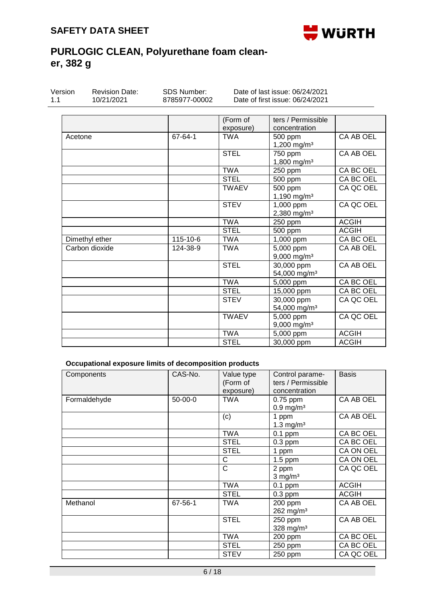

| Version<br>1.1 | <b>Revision Date:</b><br>10/21/2021 | <b>SDS Number:</b><br>8785977-00002 |                       | Date of last issue: 06/24/2021<br>Date of first issue: 06/24/2021 |              |
|----------------|-------------------------------------|-------------------------------------|-----------------------|-------------------------------------------------------------------|--------------|
|                |                                     |                                     | (Form of<br>exposure) | ters / Permissible<br>concentration                               |              |
| Acetone        |                                     | 67-64-1                             | <b>TWA</b>            | 500 ppm<br>1,200 mg/m <sup>3</sup>                                | CA AB OEL    |
|                |                                     |                                     | <b>STEL</b>           | 750 ppm<br>1,800 mg/m <sup>3</sup>                                | CA AB OEL    |
|                |                                     |                                     | <b>TWA</b>            | 250 ppm                                                           | CA BC OEL    |
|                |                                     |                                     | <b>STEL</b>           | 500 ppm                                                           | CA BC OEL    |
|                |                                     |                                     | <b>TWAEV</b>          | 500 ppm<br>1,190 mg/m <sup>3</sup>                                | CA QC OEL    |
|                |                                     |                                     | <b>STEV</b>           | 1,000 ppm<br>2,380 mg/m <sup>3</sup>                              | CA QC OEL    |
|                |                                     |                                     | <b>TWA</b>            | 250 ppm                                                           | <b>ACGIH</b> |
|                |                                     |                                     | <b>STEL</b>           | 500 ppm                                                           | <b>ACGIH</b> |
|                | Dimethyl ether                      | 115-10-6                            | <b>TWA</b>            | $\overline{1}$ ,000 ppm                                           | CA BC OEL    |
|                | Carbon dioxide                      | 124-38-9                            | <b>TWA</b>            | 5,000 ppm<br>9,000 mg/m <sup>3</sup>                              | CA AB OEL    |
|                |                                     |                                     | <b>STEL</b>           | 30,000 ppm<br>54,000 mg/m <sup>3</sup>                            | CA AB OEL    |
|                |                                     |                                     | <b>TWA</b>            | 5,000 ppm                                                         | CA BC OEL    |
|                |                                     |                                     | <b>STEL</b>           | 15,000 ppm                                                        | CA BC OEL    |
|                |                                     |                                     | <b>STEV</b>           | 30,000 ppm<br>54,000 mg/m <sup>3</sup>                            | CA QC OEL    |
|                |                                     |                                     | <b>TWAEV</b>          | 5,000 ppm<br>$9,000$ mg/m <sup>3</sup>                            | CA QC OEL    |
|                |                                     |                                     | <b>TWA</b>            | 5,000 ppm                                                         | <b>ACGIH</b> |
|                |                                     |                                     | <b>STEL</b>           | 30,000 ppm                                                        | <b>ACGIH</b> |

## **Occupational exposure limits of decomposition products**

| Components   | CAS-No.   | Value type<br>(Form of<br>exposure) | Control parame-<br>ters / Permissible<br>concentration | <b>Basis</b> |
|--------------|-----------|-------------------------------------|--------------------------------------------------------|--------------|
| Formaldehyde | $50-00-0$ | <b>TWA</b>                          | $0.75$ ppm<br>$0.9$ mg/m <sup>3</sup>                  | CA AB OEL    |
|              |           | (c)                                 | 1 ppm<br>1.3 mg/ $m3$                                  | CA AB OEL    |
|              |           | <b>TWA</b>                          | $0.1$ ppm                                              | CA BC OEL    |
|              |           | <b>STEL</b>                         | $0.3$ ppm                                              | CA BC OEL    |
|              |           | <b>STEL</b>                         | 1 ppm                                                  | CA ON OEL    |
|              |           | С                                   | $1.5$ ppm                                              | CA ON OEL    |
|              |           | C                                   | 2 ppm<br>$3$ mg/m <sup>3</sup>                         | CA QC OEL    |
|              |           | <b>TWA</b>                          | $0.1$ ppm                                              | <b>ACGIH</b> |
|              |           | <b>STEL</b>                         | $0.3$ ppm                                              | <b>ACGIH</b> |
| Methanol     | 67-56-1   | <b>TWA</b>                          | 200 ppm<br>$262$ mg/m <sup>3</sup>                     | CA AB OEL    |
|              |           | <b>STEL</b>                         | 250 ppm<br>328 mg/m <sup>3</sup>                       | CA AB OEL    |
|              |           | <b>TWA</b>                          | 200 ppm                                                | CA BC OEL    |
|              |           | <b>STEL</b>                         | 250 ppm                                                | CA BC OEL    |
|              |           | <b>STEV</b>                         | 250 ppm                                                | CA QC OEL    |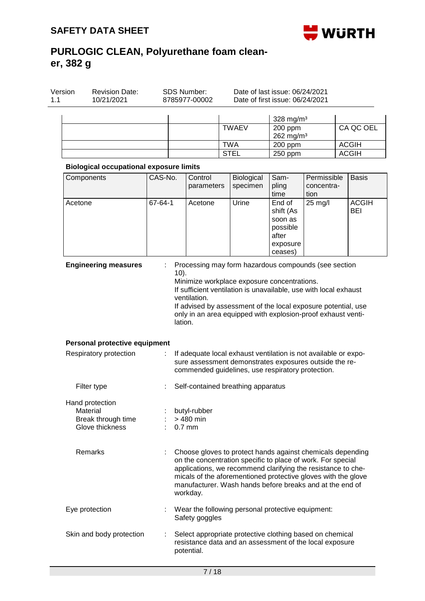Revision Date:

Version



Date of last issue: 06/24/2021

# **PURLOGIC CLEAN, Polyurethane foam cleaner, 382 g**

SDS Number:

| 10/21/2021                                     |         | 8785977-00002           |                                                                                                                                                                                                                                                                                                                        | Date of first issue: 06/24/2021                                            |                    |                     |
|------------------------------------------------|---------|-------------------------|------------------------------------------------------------------------------------------------------------------------------------------------------------------------------------------------------------------------------------------------------------------------------------------------------------------------|----------------------------------------------------------------------------|--------------------|---------------------|
|                                                |         |                         |                                                                                                                                                                                                                                                                                                                        | 328 mg/m <sup>3</sup>                                                      |                    |                     |
|                                                |         |                         | <b>TWAEV</b>                                                                                                                                                                                                                                                                                                           | 200 ppm                                                                    |                    | CA QC OEL           |
|                                                |         |                         |                                                                                                                                                                                                                                                                                                                        | 262 mg/m <sup>3</sup>                                                      |                    |                     |
|                                                |         |                         | <b>TWA</b>                                                                                                                                                                                                                                                                                                             | 200 ppm                                                                    |                    | <b>ACGIH</b>        |
|                                                |         |                         | <b>STEL</b>                                                                                                                                                                                                                                                                                                            | 250 ppm                                                                    |                    | <b>ACGIH</b>        |
| <b>Biological occupational exposure limits</b> |         |                         |                                                                                                                                                                                                                                                                                                                        |                                                                            |                    |                     |
| Components                                     | CAS-No. | Control                 | Biological                                                                                                                                                                                                                                                                                                             | Sam-                                                                       | Permissible        | <b>Basis</b>        |
|                                                |         | parameters              | specimen                                                                                                                                                                                                                                                                                                               | pling<br>time                                                              | concentra-<br>tion |                     |
| Acetone                                        | 67-64-1 | Acetone                 | Urine                                                                                                                                                                                                                                                                                                                  | End of<br>shift (As<br>soon as<br>possible<br>after<br>exposure<br>ceases) | 25 mg/l            | <b>ACGIH</b><br>BEI |
|                                                |         | ventilation.<br>lation. | Minimize workplace exposure concentrations.<br>If sufficient ventilation is unavailable, use with local exhaust<br>If advised by assessment of the local exposure potential, use<br>only in an area equipped with explosion-proof exhaust venti-                                                                       |                                                                            |                    |                     |
| Personal protective equipment                  |         |                         |                                                                                                                                                                                                                                                                                                                        |                                                                            |                    |                     |
| Respiratory protection                         |         |                         | If adequate local exhaust ventilation is not available or expo-<br>sure assessment demonstrates exposures outside the re-<br>commended guidelines, use respiratory protection.                                                                                                                                         |                                                                            |                    |                     |
| Filter type                                    |         |                         | Self-contained breathing apparatus                                                                                                                                                                                                                                                                                     |                                                                            |                    |                     |
| Hand protection                                |         |                         |                                                                                                                                                                                                                                                                                                                        |                                                                            |                    |                     |
| Material                                       |         | butyl-rubber            |                                                                                                                                                                                                                                                                                                                        |                                                                            |                    |                     |
| Break through time                             |         | > 480 min               |                                                                                                                                                                                                                                                                                                                        |                                                                            |                    |                     |
| Glove thickness                                |         | $0.7$ mm                |                                                                                                                                                                                                                                                                                                                        |                                                                            |                    |                     |
| Remarks                                        |         | workday.                | Choose gloves to protect hands against chemicals depending<br>on the concentration specific to place of work. For special<br>applications, we recommend clarifying the resistance to che-<br>micals of the aforementioned protective gloves with the glove<br>manufacturer. Wash hands before breaks and at the end of |                                                                            |                    |                     |
| Eye protection                                 |         | Safety goggles          | Wear the following personal protective equipment:                                                                                                                                                                                                                                                                      |                                                                            |                    |                     |
| Skin and body protection                       |         | potential.              | Select appropriate protective clothing based on chemical<br>resistance data and an assessment of the local exposure                                                                                                                                                                                                    |                                                                            |                    |                     |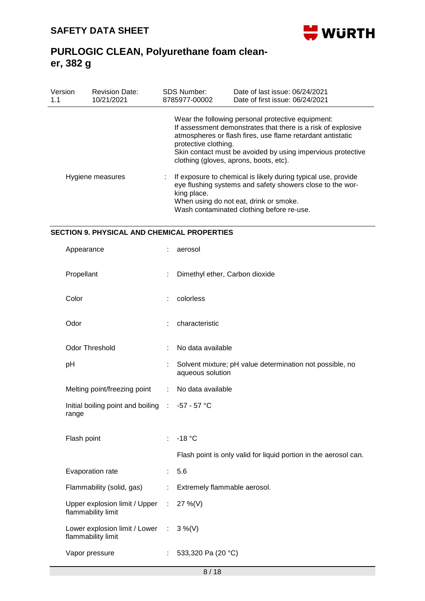

| Version<br>1.1   | <b>Revision Date:</b><br>10/21/2021 | <b>SDS Number:</b><br>8785977-00002                                                                                                                                                                                              | Date of last issue: 06/24/2021<br>Date of first issue: 06/24/2021                                                                                                                                                                                                                        |  |  |  |
|------------------|-------------------------------------|----------------------------------------------------------------------------------------------------------------------------------------------------------------------------------------------------------------------------------|------------------------------------------------------------------------------------------------------------------------------------------------------------------------------------------------------------------------------------------------------------------------------------------|--|--|--|
|                  |                                     | protective clothing.                                                                                                                                                                                                             | Wear the following personal protective equipment:<br>If assessment demonstrates that there is a risk of explosive<br>atmospheres or flash fires, use flame retardant antistatic<br>Skin contact must be avoided by using impervious protective<br>clothing (gloves, aprons, boots, etc). |  |  |  |
| Hygiene measures |                                     | If exposure to chemical is likely during typical use, provide<br>eye flushing systems and safety showers close to the wor-<br>king place.<br>When using do not eat, drink or smoke.<br>Wash contaminated clothing before re-use. |                                                                                                                                                                                                                                                                                          |  |  |  |

## **SECTION 9. PHYSICAL AND CHEMICAL PROPERTIES**

| Appearance                                                    |                       | aerosol                                                                      |
|---------------------------------------------------------------|-----------------------|------------------------------------------------------------------------------|
| Propellant                                                    | ÷                     | Dimethyl ether, Carbon dioxide                                               |
| Color                                                         |                       | colorless                                                                    |
| Odor                                                          | t                     | characteristic                                                               |
| <b>Odor Threshold</b>                                         | ÷                     | No data available                                                            |
| pH                                                            |                       | Solvent mixture; pH value determination not possible, no<br>aqueous solution |
| Melting point/freezing point                                  | ÷                     | No data available                                                            |
| Initial boiling point and boiling : -57 - 57 °C<br>range      |                       |                                                                              |
| Flash point                                                   | ÷                     | $-18 °C$                                                                     |
|                                                               |                       | Flash point is only valid for liquid portion in the aerosol can.             |
| Evaporation rate                                              | $\mathbb{R}^n$        | 5.6                                                                          |
| Flammability (solid, gas)                                     | $\mathbb{Z}^{\times}$ | Extremely flammable aerosol.                                                 |
| Upper explosion limit / Upper : 27 %(V)<br>flammability limit |                       |                                                                              |
| Lower explosion limit / Lower :<br>flammability limit         |                       | $3\%$ (V)                                                                    |
| Vapor pressure                                                |                       | : 533,320 Pa (20 °C)                                                         |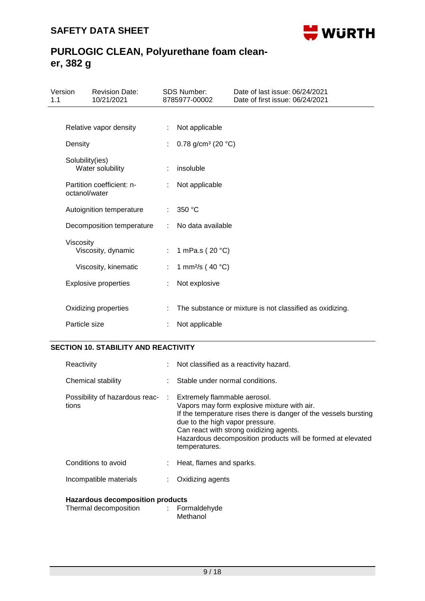

| 1.1 | Version         | <b>Revision Date:</b><br>10/21/2021 |    | <b>SDS Number:</b><br>8785977-00002      | Date of last issue: 06/24/2021<br>Date of first issue: 06/24/2021 |
|-----|-----------------|-------------------------------------|----|------------------------------------------|-------------------------------------------------------------------|
|     |                 |                                     |    |                                          |                                                                   |
|     |                 | Relative vapor density              | ÷  | Not applicable                           |                                                                   |
|     | Density         |                                     |    | 0.78 g/cm <sup>3</sup> (20 $^{\circ}$ C) |                                                                   |
|     | Solubility(ies) | Water solubility                    |    | insoluble                                |                                                                   |
|     | octanol/water   | Partition coefficient: n-           |    | Not applicable                           |                                                                   |
|     |                 | Autoignition temperature            | ÷. | 350 °C                                   |                                                                   |
|     |                 | Decomposition temperature           |    | No data available                        |                                                                   |
|     | Viscosity       | Viscosity, dynamic                  | ÷. | 1 mPa.s (20 °C)                          |                                                                   |
|     |                 | Viscosity, kinematic                |    | 1 mm <sup>2</sup> /s (40 $^{\circ}$ C)   |                                                                   |
|     |                 | <b>Explosive properties</b>         |    | Not explosive                            |                                                                   |
|     |                 |                                     |    |                                          |                                                                   |
|     |                 | Oxidizing properties                |    |                                          | The substance or mixture is not classified as oxidizing.          |
|     | Particle size   |                                     |    | Not applicable                           |                                                                   |

### **SECTION 10. STABILITY AND REACTIVITY**

| Reactivity                                                             | : Not classified as a reactivity hazard.                                                                                                                                                                                                                                      |  |
|------------------------------------------------------------------------|-------------------------------------------------------------------------------------------------------------------------------------------------------------------------------------------------------------------------------------------------------------------------------|--|
| Chemical stability                                                     | Stable under normal conditions.                                                                                                                                                                                                                                               |  |
| Possibility of hazardous reac- : Extremely flammable aerosol.<br>tions | Vapors may form explosive mixture with air.<br>If the temperature rises there is danger of the vessels bursting<br>due to the high vapor pressure.<br>Can react with strong oxidizing agents.<br>Hazardous decomposition products will be formed at elevated<br>temperatures. |  |
| Conditions to avoid                                                    | Heat, flames and sparks.                                                                                                                                                                                                                                                      |  |
| Incompatible materials                                                 | Oxidizing agents                                                                                                                                                                                                                                                              |  |

### **Hazardous decomposition products**

| Thermal decomposition | Formaldehyde |
|-----------------------|--------------|
|                       | Methanol     |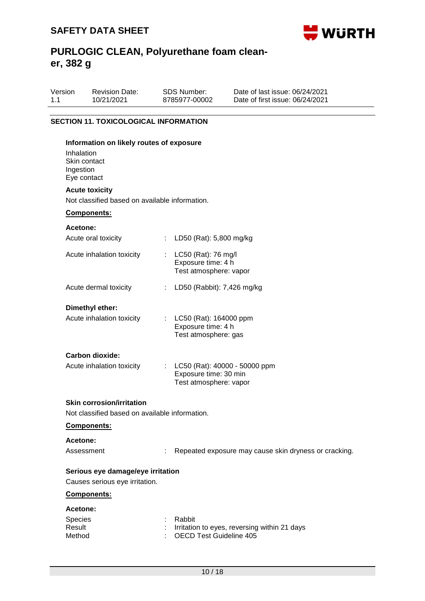

| Version | <b>Revision Date:</b> | SDS Number:   | Date of last issue: 06/24/2021  |
|---------|-----------------------|---------------|---------------------------------|
| 1.1     | 10/21/2021            | 8785977-00002 | Date of first issue: 06/24/2021 |
|         |                       |               |                                 |

## **SECTION 11. TOXICOLOGICAL INFORMATION**

| Information on likely routes of exposure<br>Inhalation<br>Skin contact<br>Ingestion<br>Eye contact |                       |                                                                                          |
|----------------------------------------------------------------------------------------------------|-----------------------|------------------------------------------------------------------------------------------|
| <b>Acute toxicity</b><br>Not classified based on available information.                            |                       |                                                                                          |
| Components:                                                                                        |                       |                                                                                          |
| Acetone:                                                                                           |                       |                                                                                          |
| Acute oral toxicity                                                                                | $\mathbb{Z}^{\times}$ | LD50 (Rat): 5,800 mg/kg                                                                  |
| Acute inhalation toxicity                                                                          |                       | : $LC50$ (Rat): 76 mg/l<br>Exposure time: 4 h<br>Test atmosphere: vapor                  |
| Acute dermal toxicity                                                                              |                       | : LD50 (Rabbit): 7,426 mg/kg                                                             |
| Dimethyl ether:                                                                                    |                       |                                                                                          |
| Acute inhalation toxicity                                                                          |                       | : LC50 (Rat): 164000 ppm<br>Exposure time: 4 h<br>Test atmosphere: gas                   |
| Carbon dioxide:                                                                                    |                       |                                                                                          |
| Acute inhalation toxicity                                                                          |                       | : LC50 (Rat): 40000 - 50000 ppm<br>Exposure time: 30 min<br>Test atmosphere: vapor       |
| <b>Skin corrosion/irritation</b>                                                                   |                       |                                                                                          |
| Not classified based on available information.                                                     |                       |                                                                                          |
| Components:                                                                                        |                       |                                                                                          |
| Acetone:                                                                                           |                       |                                                                                          |
| Assessment                                                                                         |                       | Repeated exposure may cause skin dryness or cracking.                                    |
| Serious eye damage/eye irritation                                                                  |                       |                                                                                          |
| Causes serious eye irritation.                                                                     |                       |                                                                                          |
| Components:                                                                                        |                       |                                                                                          |
| <b>Acetone:</b>                                                                                    |                       |                                                                                          |
| <b>Species</b><br>Result<br>Method                                                                 |                       | Rabbit<br>Irritation to eyes, reversing within 21 days<br><b>OECD Test Guideline 405</b> |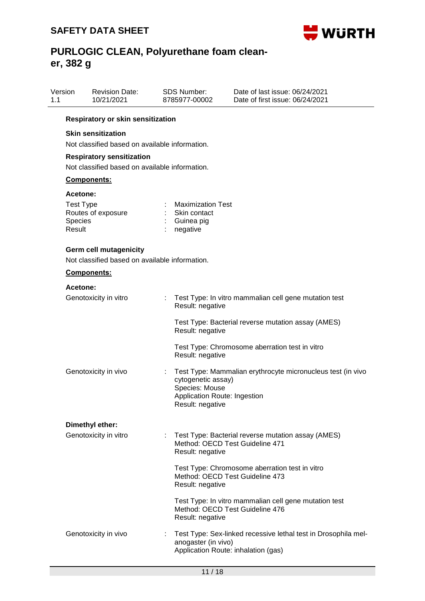

| 1.1 | Version                                           | <b>Revision Date:</b><br>10/21/2021                                                |   | <b>SDS Number:</b><br>8785977-00002                                                      | Date of last issue: 06/24/2021<br>Date of first issue: 06/24/2021                                    |
|-----|---------------------------------------------------|------------------------------------------------------------------------------------|---|------------------------------------------------------------------------------------------|------------------------------------------------------------------------------------------------------|
|     |                                                   | Respiratory or skin sensitization                                                  |   |                                                                                          |                                                                                                      |
|     |                                                   | <b>Skin sensitization</b><br>Not classified based on available information.        |   |                                                                                          |                                                                                                      |
|     |                                                   | <b>Respiratory sensitization</b><br>Not classified based on available information. |   |                                                                                          |                                                                                                      |
|     |                                                   | Components:                                                                        |   |                                                                                          |                                                                                                      |
|     | Acetone:<br><b>Test Type</b><br>Species<br>Result | Routes of exposure                                                                 |   | <b>Maximization Test</b><br>Skin contact<br>Guinea pig<br>negative                       |                                                                                                      |
|     |                                                   | <b>Germ cell mutagenicity</b><br>Not classified based on available information.    |   |                                                                                          |                                                                                                      |
|     |                                                   | Components:                                                                        |   |                                                                                          |                                                                                                      |
|     | Acetone:                                          |                                                                                    |   |                                                                                          |                                                                                                      |
|     |                                                   | Genotoxicity in vitro                                                              |   | Result: negative                                                                         | Test Type: In vitro mammalian cell gene mutation test                                                |
|     |                                                   |                                                                                    |   | Result: negative<br>Result: negative                                                     | Test Type: Bacterial reverse mutation assay (AMES)<br>Test Type: Chromosome aberration test in vitro |
|     |                                                   | Genotoxicity in vivo                                                               |   | cytogenetic assay)<br>Species: Mouse<br>Application Route: Ingestion<br>Result: negative | Test Type: Mammalian erythrocyte micronucleus test (in vivo                                          |
|     |                                                   | Dimethyl ether:                                                                    |   |                                                                                          |                                                                                                      |
|     |                                                   | Genotoxicity in vitro                                                              | ÷ | Method: OECD Test Guideline 471<br>Result: negative                                      | Test Type: Bacterial reverse mutation assay (AMES)                                                   |
|     |                                                   |                                                                                    |   | Method: OECD Test Guideline 473<br>Result: negative                                      | Test Type: Chromosome aberration test in vitro                                                       |
|     |                                                   |                                                                                    |   | Method: OECD Test Guideline 476<br>Result: negative                                      | Test Type: In vitro mammalian cell gene mutation test                                                |
|     |                                                   | Genotoxicity in vivo                                                               |   | anogaster (in vivo)<br>Application Route: inhalation (gas)                               | Test Type: Sex-linked recessive lethal test in Drosophila mel-                                       |
|     |                                                   |                                                                                    |   |                                                                                          |                                                                                                      |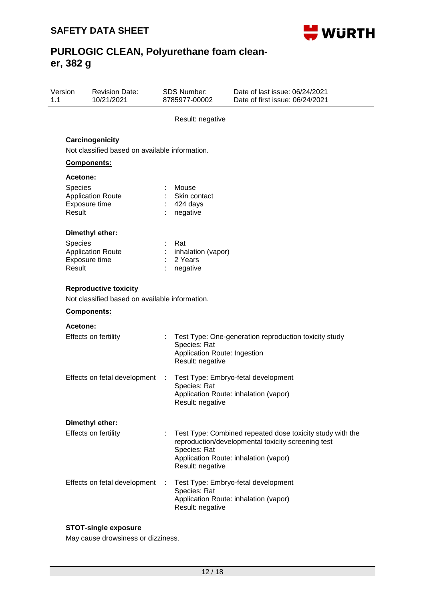

| Version<br>1.1 |                                      | <b>Revision Date:</b><br>10/21/2021                                                           |   | <b>SDS Number:</b><br>8785977-00002                              | Date of last issue: 06/24/2021<br>Date of first issue: 06/24/2021                                                                                        |
|----------------|--------------------------------------|-----------------------------------------------------------------------------------------------|---|------------------------------------------------------------------|----------------------------------------------------------------------------------------------------------------------------------------------------------|
|                |                                      |                                                                                               |   | Result: negative                                                 |                                                                                                                                                          |
|                |                                      | Carcinogenicity<br>Not classified based on available information.                             |   |                                                                  |                                                                                                                                                          |
|                |                                      | Components:                                                                                   |   |                                                                  |                                                                                                                                                          |
|                | Acetone:<br><b>Species</b><br>Result | <b>Application Route</b><br>Exposure time                                                     |   | Mouse<br>Skin contact<br>424 days<br>negative                    |                                                                                                                                                          |
|                | <b>Species</b><br>Result             | Dimethyl ether:<br><b>Application Route</b><br>Exposure time                                  |   | Rat<br>inhalation (vapor)<br>2 Years<br>negative                 |                                                                                                                                                          |
|                |                                      | <b>Reproductive toxicity</b><br>Not classified based on available information.<br>Components: |   |                                                                  |                                                                                                                                                          |
|                | Acetone:                             |                                                                                               |   |                                                                  |                                                                                                                                                          |
|                |                                      | <b>Effects on fertility</b>                                                                   |   | Species: Rat<br>Application Route: Ingestion<br>Result: negative | Test Type: One-generation reproduction toxicity study                                                                                                    |
|                |                                      | Effects on fetal development                                                                  | ÷ | Species: Rat<br>Result: negative                                 | Test Type: Embryo-fetal development<br>Application Route: inhalation (vapor)                                                                             |
|                |                                      | Dimethyl ether:                                                                               |   |                                                                  |                                                                                                                                                          |
|                |                                      | Effects on fertility                                                                          |   | Species: Rat<br>Result: negative                                 | Test Type: Combined repeated dose toxicity study with the<br>reproduction/developmental toxicity screening test<br>Application Route: inhalation (vapor) |
|                |                                      | Effects on fetal development                                                                  |   | Species: Rat<br>Result: negative                                 | Test Type: Embryo-fetal development<br>Application Route: inhalation (vapor)                                                                             |

## **STOT-single exposure**

May cause drowsiness or dizziness.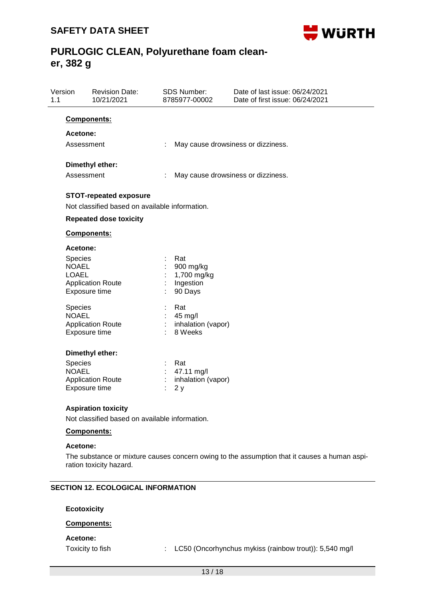

| Version<br>1.1 |                              | <b>Revision Date:</b><br>10/21/2021            |    | <b>SDS Number:</b><br>8785977-00002 | Date of last issue: 06/24/2021<br>Date of first issue: 06/24/2021 |
|----------------|------------------------------|------------------------------------------------|----|-------------------------------------|-------------------------------------------------------------------|
|                | <b>Components:</b>           |                                                |    |                                     |                                                                   |
|                | Acetone:                     |                                                |    |                                     |                                                                   |
|                | Assessment                   |                                                | t  | May cause drowsiness or dizziness.  |                                                                   |
|                |                              | Dimethyl ether:                                |    |                                     |                                                                   |
|                | Assessment                   |                                                |    | May cause drowsiness or dizziness.  |                                                                   |
|                |                              |                                                |    |                                     |                                                                   |
|                |                              | <b>STOT-repeated exposure</b>                  |    |                                     |                                                                   |
|                |                              | Not classified based on available information. |    |                                     |                                                                   |
|                |                              | <b>Repeated dose toxicity</b>                  |    |                                     |                                                                   |
|                | Components:                  |                                                |    |                                     |                                                                   |
|                | <b>Acetone:</b>              |                                                |    |                                     |                                                                   |
|                | Species                      |                                                |    | Rat                                 |                                                                   |
|                | <b>NOAEL</b><br><b>LOAEL</b> |                                                |    | 900 mg/kg<br>1,700 mg/kg            |                                                                   |
|                |                              | <b>Application Route</b>                       | t, | Ingestion                           |                                                                   |
|                | Exposure time                |                                                |    | 90 Days                             |                                                                   |
|                | Species                      |                                                | t, | Rat                                 |                                                                   |
|                | <b>NOAEL</b>                 |                                                | t, | 45 mg/l                             |                                                                   |
|                | Exposure time                | <b>Application Route</b>                       |    | inhalation (vapor)<br>8 Weeks       |                                                                   |
|                |                              |                                                |    |                                     |                                                                   |
|                |                              | Dimethyl ether:                                |    |                                     |                                                                   |
|                | Species                      |                                                |    | Rat                                 |                                                                   |
|                | <b>NOAEL</b>                 | <b>Application Route</b>                       |    | 47.11 mg/l<br>inhalation (vapor)    |                                                                   |
|                | Exposure time                |                                                |    | 2y                                  |                                                                   |
|                |                              |                                                |    |                                     |                                                                   |
|                |                              | <b>Aspiration toxicity</b>                     |    |                                     |                                                                   |
|                |                              | Not classified based on available information. |    |                                     |                                                                   |
|                | Components:                  |                                                |    |                                     |                                                                   |
|                | <b>Acetone:</b>              |                                                |    |                                     |                                                                   |

The substance or mixture causes concern owing to the assumption that it causes a human aspiration toxicity hazard.

### **SECTION 12. ECOLOGICAL INFORMATION**

**Ecotoxicity**

### **Components:**

### **Acetone:**

Toxicity to fish : LC50 (Oncorhynchus mykiss (rainbow trout)): 5,540 mg/l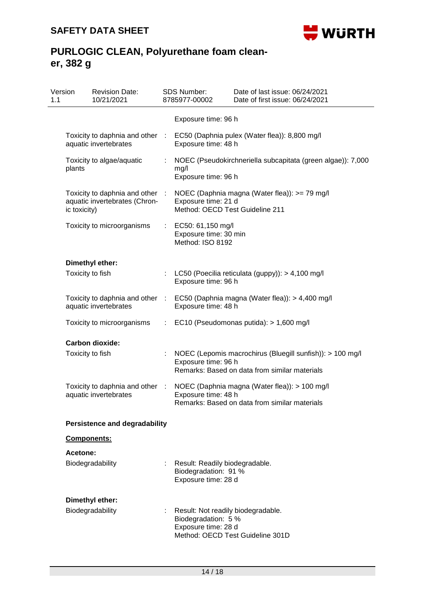

| Version<br>1.1 |                                                                                                 | <b>Revision Date:</b><br>10/21/2021                              |                       | <b>SDS Number:</b><br>8785977-00002                                              | Date of last issue: 06/24/2021<br>Date of first issue: 06/24/2021                                          |
|----------------|-------------------------------------------------------------------------------------------------|------------------------------------------------------------------|-----------------------|----------------------------------------------------------------------------------|------------------------------------------------------------------------------------------------------------|
|                |                                                                                                 |                                                                  |                       | Exposure time: 96 h                                                              |                                                                                                            |
|                | Toxicity to daphnia and other :<br>aquatic invertebrates<br>Toxicity to algae/aquatic<br>plants |                                                                  |                       | Exposure time: 48 h                                                              | EC50 (Daphnia pulex (Water flea)): 8,800 mg/l                                                              |
|                |                                                                                                 |                                                                  | ÷.                    | mg/l<br>Exposure time: 96 h                                                      | NOEC (Pseudokirchneriella subcapitata (green algae)): 7,000                                                |
|                | ic toxicity)                                                                                    | Toxicity to daphnia and other :<br>aquatic invertebrates (Chron- |                       | Exposure time: 21 d<br>Method: OECD Test Guideline 211                           | NOEC (Daphnia magna (Water flea)): >= 79 mg/l                                                              |
|                |                                                                                                 | Toxicity to microorganisms                                       |                       | EC50: 61,150 mg/l<br>Exposure time: 30 min<br>Method: ISO 8192                   |                                                                                                            |
|                |                                                                                                 | Dimethyl ether:                                                  |                       |                                                                                  |                                                                                                            |
|                |                                                                                                 | Toxicity to fish                                                 |                       | Exposure time: 96 h                                                              | LC50 (Poecilia reticulata (guppy)): > 4,100 mg/l                                                           |
|                |                                                                                                 | Toxicity to daphnia and other :<br>aquatic invertebrates         |                       | Exposure time: 48 h                                                              | EC50 (Daphnia magna (Water flea)): > 4,400 mg/l                                                            |
|                |                                                                                                 | Toxicity to microorganisms                                       | $\mathbb{Z}^{\times}$ |                                                                                  | EC10 (Pseudomonas putida): > 1,600 mg/l                                                                    |
|                |                                                                                                 | <b>Carbon dioxide:</b>                                           |                       |                                                                                  |                                                                                                            |
|                |                                                                                                 | Toxicity to fish                                                 |                       | Exposure time: 96 h                                                              | NOEC (Lepomis macrochirus (Bluegill sunfish)): > 100 mg/l<br>Remarks: Based on data from similar materials |
|                |                                                                                                 | Toxicity to daphnia and other :<br>aquatic invertebrates         |                       | Exposure time: 48 h                                                              | NOEC (Daphnia magna (Water flea)): > 100 mg/l<br>Remarks: Based on data from similar materials             |
|                |                                                                                                 | <b>Persistence and degradability</b>                             |                       |                                                                                  |                                                                                                            |
|                |                                                                                                 | <b>Components:</b>                                               |                       |                                                                                  |                                                                                                            |
|                | <b>Acetone:</b>                                                                                 |                                                                  |                       |                                                                                  |                                                                                                            |
|                |                                                                                                 | Biodegradability                                                 |                       | Result: Readily biodegradable.<br>Biodegradation: 91 %<br>Exposure time: 28 d    |                                                                                                            |
|                |                                                                                                 | Dimethyl ether:                                                  |                       |                                                                                  |                                                                                                            |
|                |                                                                                                 | Biodegradability                                                 |                       | Result: Not readily biodegradable.<br>Biodegradation: 5 %<br>Exposure time: 28 d | Method: OECD Test Guideline 301D                                                                           |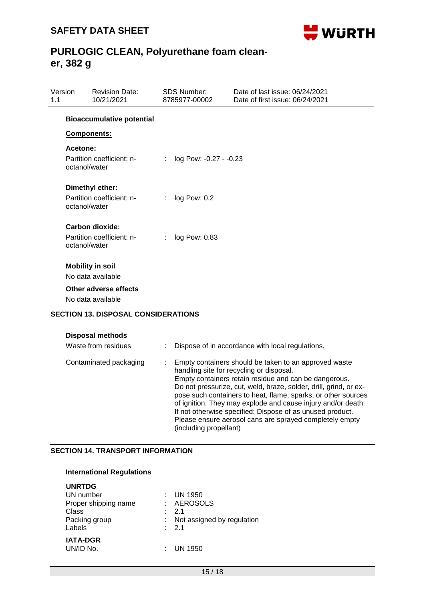

| Version<br>1.1 |                           | <b>Revision Date:</b><br>10/21/2021                                                        |    | <b>SDS Number:</b><br>8785977-00002 | Date of last issue: 06/24/2021<br>Date of first issue: 06/24/2021 |
|----------------|---------------------------|--------------------------------------------------------------------------------------------|----|-------------------------------------|-------------------------------------------------------------------|
|                |                           | <b>Bioaccumulative potential</b>                                                           |    |                                     |                                                                   |
|                | <b>Components:</b>        |                                                                                            |    |                                     |                                                                   |
|                | Acetone:<br>octanol/water | Partition coefficient: n-                                                                  | ÷  | log Pow: -0.27 - -0.23              |                                                                   |
|                | octanol/water             | Dimethyl ether:<br>Partition coefficient: n-                                               | ÷. | log Pow: 0.2                        |                                                                   |
|                | octanol/water             | Carbon dioxide:<br>Partition coefficient: n-                                               | ÷. | log Pow: 0.83                       |                                                                   |
|                |                           | <b>Mobility in soil</b><br>No data available<br>Other adverse effects<br>No data available |    |                                     |                                                                   |

## **SECTION 13. DISPOSAL CONSIDERATIONS**

| <b>Disposal methods</b> |  |
|-------------------------|--|
|                         |  |

| Waste from residues    | Dispose of in accordance with local regulations.                                                                                                                                                                                                                                                                                                                                                                                                                                                                   |
|------------------------|--------------------------------------------------------------------------------------------------------------------------------------------------------------------------------------------------------------------------------------------------------------------------------------------------------------------------------------------------------------------------------------------------------------------------------------------------------------------------------------------------------------------|
| Contaminated packaging | Empty containers should be taken to an approved waste<br>handling site for recycling or disposal.<br>Empty containers retain residue and can be dangerous.<br>Do not pressurize, cut, weld, braze, solder, drill, grind, or ex-<br>pose such containers to heat, flame, sparks, or other sources<br>of ignition. They may explode and cause injury and/or death.<br>If not otherwise specified: Dispose of as unused product.<br>Please ensure aerosol cans are sprayed completely empty<br>(including propellant) |

### **SECTION 14. TRANSPORT INFORMATION**

#### **International Regulations**

| <b>UNRTDG</b>        |                            |
|----------------------|----------------------------|
| UN number            | UN 1950                    |
| Proper shipping name | : AEROSOLS                 |
| Class                | $\therefore$ 2.1           |
| Packing group        | Not assigned by regulation |
| Labels               | : 2.1                      |
| <b>IATA-DGR</b>      |                            |
| UN/ID No.            | UN 1950                    |
|                      |                            |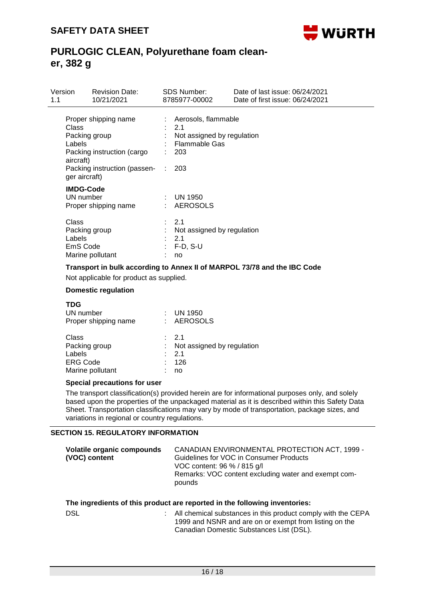

| Version<br>1.1               | <b>Revision Date:</b><br>10/21/2021                                                                                    | SDS Number:<br>8785977-00002                                                                                  | Date of last issue: 06/24/2021<br>Date of first issue: 06/24/2021 |
|------------------------------|------------------------------------------------------------------------------------------------------------------------|---------------------------------------------------------------------------------------------------------------|-------------------------------------------------------------------|
| Class<br>Labels<br>aircraft) | Proper shipping name<br>Packing group<br>Packing instruction (cargo<br>Packing instruction (passen- :<br>ger aircraft) | : Aerosols, flammable<br>$\therefore$ 2.1<br>Not assigned by regulation<br><b>Flammable Gas</b><br>203<br>203 |                                                                   |
|                              | <b>IMDG-Code</b><br>UN number<br>Proper shipping name                                                                  | $:$ UN 1950<br>: AEROSOLS                                                                                     |                                                                   |
| Class<br>Labels              | Packing group<br>EmS Code<br>Marine pollutant                                                                          | : 2.1<br>Not assigned by regulation<br>$\therefore$ 2.1<br>$: F-D, S-U$<br>no                                 |                                                                   |

### **Transport in bulk according to Annex II of MARPOL 73/78 and the IBC Code**

Not applicable for product as supplied.

#### **Domestic regulation**

| TDG<br>UN number<br>Proper shipping name                                | UN 1950<br>: AEROSOLS                                               |
|-------------------------------------------------------------------------|---------------------------------------------------------------------|
| Class<br>Packing group<br>Labels<br><b>ERG Code</b><br>Marine pollutant | $\cdot$ 21<br>Not assigned by regulation<br>$\cdot$ 21<br>126<br>no |

#### **Special precautions for user**

The transport classification(s) provided herein are for informational purposes only, and solely based upon the properties of the unpackaged material as it is described within this Safety Data Sheet. Transportation classifications may vary by mode of transportation, package sizes, and variations in regional or country regulations.

### **SECTION 15. REGULATORY INFORMATION**

| Volatile organic compounds<br>(VOC) content | CANADIAN ENVIRONMENTAL PROTECTION ACT, 1999 -<br>Guidelines for VOC in Consumer Products |
|---------------------------------------------|------------------------------------------------------------------------------------------|
|                                             | VOC content: 96 % / 815 g/l                                                              |
|                                             | Remarks: VOC content excluding water and exempt com-<br>pounds                           |
|                                             |                                                                                          |

### **The ingredients of this product are reported in the following inventories:**

| DSL | All chemical substances in this product comply with the CEPA |
|-----|--------------------------------------------------------------|
|     | 1999 and NSNR and are on or exempt from listing on the       |
|     | Canadian Domestic Substances List (DSL).                     |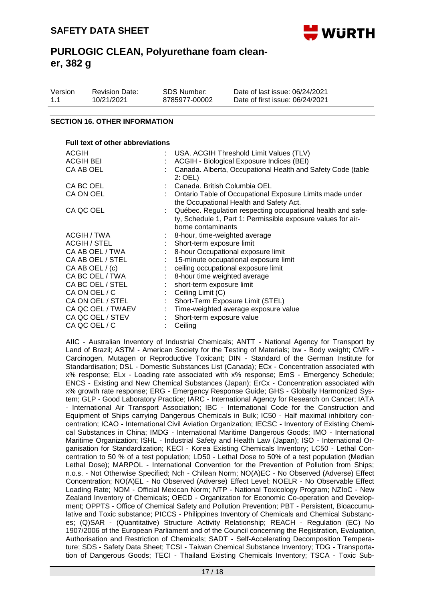

| Version | <b>Revision Date:</b> | SDS Number:   | Date of last issue: 06/24/2021  |
|---------|-----------------------|---------------|---------------------------------|
| 1.1     | 10/21/2021            | 8785977-00002 | Date of first issue: 06/24/2021 |

#### **SECTION 16. OTHER INFORMATION**

| Full text of other abbreviations |                  |                                                                                                                                                   |  |  |  |
|----------------------------------|------------------|---------------------------------------------------------------------------------------------------------------------------------------------------|--|--|--|
| ACGIH                            |                  | : USA. ACGIH Threshold Limit Values (TLV)                                                                                                         |  |  |  |
| <b>ACGIH BEI</b>                 |                  | ACGIH - Biological Exposure Indices (BEI)                                                                                                         |  |  |  |
| CA AB OEL                        |                  | Canada. Alberta, Occupational Health and Safety Code (table<br>$2:$ OEL)                                                                          |  |  |  |
| CA BC OEL                        |                  | Canada. British Columbia OEL                                                                                                                      |  |  |  |
| CA ON OEL                        |                  | Ontario Table of Occupational Exposure Limits made under<br>the Occupational Health and Safety Act.                                               |  |  |  |
| CA QC OEL                        |                  | Québec. Regulation respecting occupational health and safe-<br>ty, Schedule 1, Part 1: Permissible exposure values for air-<br>borne contaminants |  |  |  |
| ACGIH / TWA                      |                  | 8-hour, time-weighted average                                                                                                                     |  |  |  |
| <b>ACGIH / STEL</b>              |                  | Short-term exposure limit                                                                                                                         |  |  |  |
| CA AB OEL / TWA                  |                  | 8-hour Occupational exposure limit                                                                                                                |  |  |  |
| CA AB OEL / STEL                 |                  | 15-minute occupational exposure limit                                                                                                             |  |  |  |
| CA AB OEL $/(c)$                 |                  | ceiling occupational exposure limit                                                                                                               |  |  |  |
| CA BC OEL / TWA                  |                  | 8-hour time weighted average                                                                                                                      |  |  |  |
| CA BC OEL / STEL                 |                  | short-term exposure limit                                                                                                                         |  |  |  |
| CA ON OEL / C                    | $\mathbb{Z}^n$ . | Ceiling Limit (C)                                                                                                                                 |  |  |  |
| CA ON OEL / STEL                 |                  | Short-Term Exposure Limit (STEL)                                                                                                                  |  |  |  |
| CA QC OEL / TWAEV                |                  | : Time-weighted average exposure value                                                                                                            |  |  |  |
| CA QC OEL / STEV                 |                  | Short-term exposure value                                                                                                                         |  |  |  |
| CA QC OEL / C                    |                  | Ceiling                                                                                                                                           |  |  |  |

AIIC - Australian Inventory of Industrial Chemicals; ANTT - National Agency for Transport by Land of Brazil; ASTM - American Society for the Testing of Materials; bw - Body weight; CMR - Carcinogen, Mutagen or Reproductive Toxicant; DIN - Standard of the German Institute for Standardisation; DSL - Domestic Substances List (Canada); ECx - Concentration associated with x% response; ELx - Loading rate associated with x% response; EmS - Emergency Schedule; ENCS - Existing and New Chemical Substances (Japan); ErCx - Concentration associated with x% growth rate response; ERG - Emergency Response Guide; GHS - Globally Harmonized System; GLP - Good Laboratory Practice; IARC - International Agency for Research on Cancer; IATA - International Air Transport Association; IBC - International Code for the Construction and Equipment of Ships carrying Dangerous Chemicals in Bulk; IC50 - Half maximal inhibitory concentration; ICAO - International Civil Aviation Organization; IECSC - Inventory of Existing Chemical Substances in China; IMDG - International Maritime Dangerous Goods; IMO - International Maritime Organization; ISHL - Industrial Safety and Health Law (Japan); ISO - International Organisation for Standardization; KECI - Korea Existing Chemicals Inventory; LC50 - Lethal Concentration to 50 % of a test population; LD50 - Lethal Dose to 50% of a test population (Median Lethal Dose); MARPOL - International Convention for the Prevention of Pollution from Ships; n.o.s. - Not Otherwise Specified; Nch - Chilean Norm; NO(A)EC - No Observed (Adverse) Effect Concentration; NO(A)EL - No Observed (Adverse) Effect Level; NOELR - No Observable Effect Loading Rate; NOM - Official Mexican Norm; NTP - National Toxicology Program; NZIoC - New Zealand Inventory of Chemicals; OECD - Organization for Economic Co-operation and Development; OPPTS - Office of Chemical Safety and Pollution Prevention; PBT - Persistent, Bioaccumulative and Toxic substance; PICCS - Philippines Inventory of Chemicals and Chemical Substances; (Q)SAR - (Quantitative) Structure Activity Relationship; REACH - Regulation (EC) No 1907/2006 of the European Parliament and of the Council concerning the Registration, Evaluation, Authorisation and Restriction of Chemicals; SADT - Self-Accelerating Decomposition Temperature; SDS - Safety Data Sheet; TCSI - Taiwan Chemical Substance Inventory; TDG - Transportation of Dangerous Goods; TECI - Thailand Existing Chemicals Inventory; TSCA - Toxic Sub-